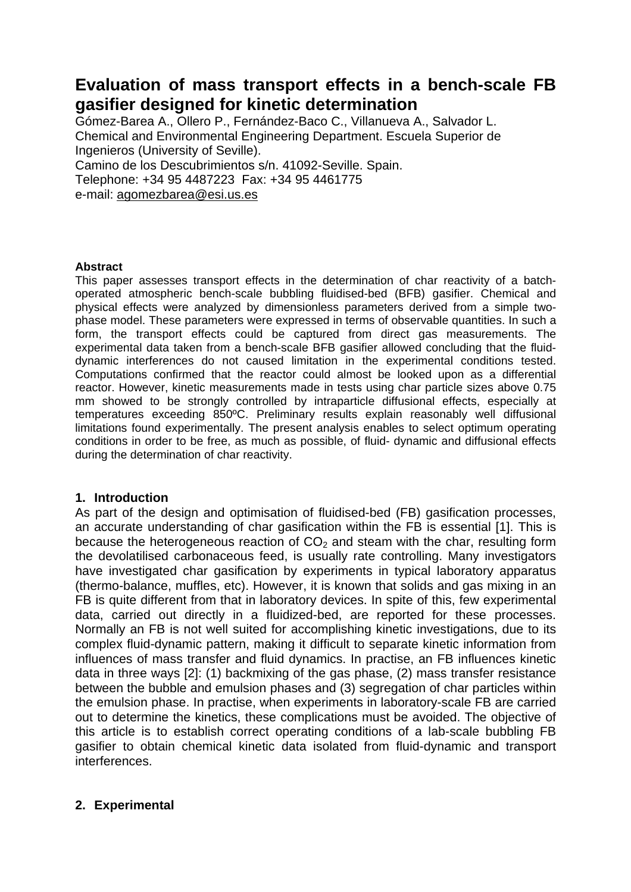# **Evaluation of mass transport effects in a bench-scale FB gasifier designed for kinetic determination**

Gómez-Barea A., Ollero P., Fernández-Baco C., Villanueva A., Salvador L. Chemical and Environmental Engineering Department. Escuela Superior de Ingenieros (University of Seville). Camino de los Descubrimientos s/n. 41092-Seville. Spain.

Telephone: +34 95 4487223 Fax: +34 95 4461775

e-mail: agomezbarea@esi.us.es

### **Abstract**

This paper assesses transport effects in the determination of char reactivity of a batchoperated atmospheric bench-scale bubbling fluidised-bed (BFB) gasifier. Chemical and physical effects were analyzed by dimensionless parameters derived from a simple twophase model. These parameters were expressed in terms of observable quantities. In such a form, the transport effects could be captured from direct gas measurements. The experimental data taken from a bench-scale BFB gasifier allowed concluding that the fluiddynamic interferences do not caused limitation in the experimental conditions tested. Computations confirmed that the reactor could almost be looked upon as a differential reactor. However, kinetic measurements made in tests using char particle sizes above 0.75 mm showed to be strongly controlled by intraparticle diffusional effects, especially at temperatures exceeding 850ºC. Preliminary results explain reasonably well diffusional limitations found experimentally. The present analysis enables to select optimum operating conditions in order to be free, as much as possible, of fluid- dynamic and diffusional effects during the determination of char reactivity.

### **1. Introduction**

As part of the design and optimisation of fluidised-bed (FB) gasification processes, an accurate understanding of char gasification within the FB is essential [1]. This is because the heterogeneous reaction of  $CO<sub>2</sub>$  and steam with the char, resulting form the devolatilised carbonaceous feed, is usually rate controlling. Many investigators have investigated char gasification by experiments in typical laboratory apparatus (thermo-balance, muffles, etc). However, it is known that solids and gas mixing in an FB is quite different from that in laboratory devices. In spite of this, few experimental data, carried out directly in a fluidized-bed, are reported for these processes. Normally an FB is not well suited for accomplishing kinetic investigations, due to its complex fluid-dynamic pattern, making it difficult to separate kinetic information from influences of mass transfer and fluid dynamics. In practise, an FB influences kinetic data in three ways [2]: (1) backmixing of the gas phase, (2) mass transfer resistance between the bubble and emulsion phases and (3) segregation of char particles within the emulsion phase. In practise, when experiments in laboratory-scale FB are carried out to determine the kinetics, these complications must be avoided. The objective of this article is to establish correct operating conditions of a lab-scale bubbling FB gasifier to obtain chemical kinetic data isolated from fluid-dynamic and transport interferences.

## **2. Experimental**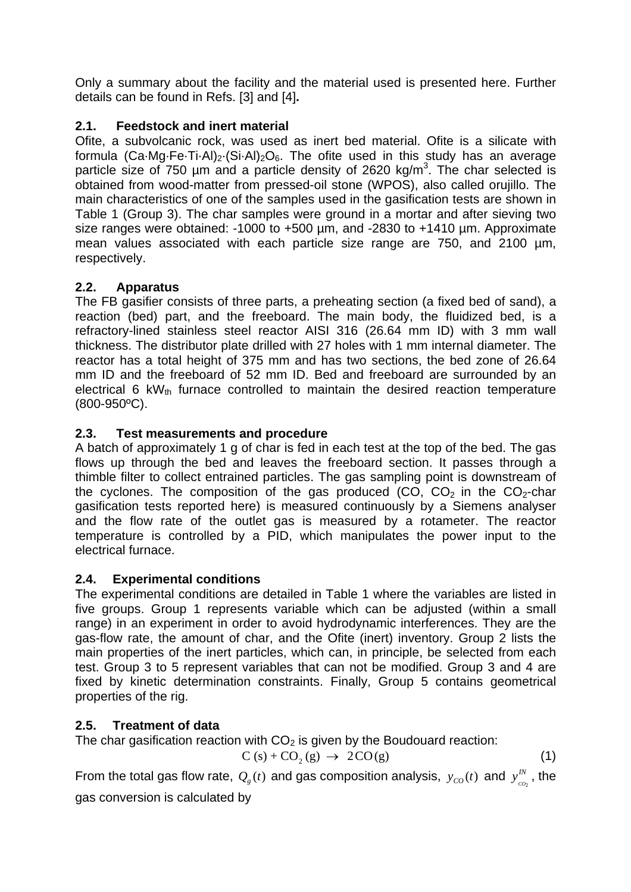Only a summary about the facility and the material used is presented here. Further details can be found in Refs. [3] and [4]**.**

## **2.1. Feedstock and inert material**

Ofite, a subvolcanic rock, was used as inert bed material. Ofite is a silicate with formula (Ca $Mg$ ·Fe·Ti·Al)<sub>2</sub>·(Si·Al)<sub>2</sub>O<sub>6</sub>. The ofite used in this study has an average particle size of 750  $\mu$ m and a particle density of 2620 kg/m<sup>3</sup>. The char selected is obtained from wood-matter from pressed-oil stone (WPOS), also called orujillo. The main characteristics of one of the samples used in the gasification tests are shown in Table 1 (Group 3). The char samples were ground in a mortar and after sieving two size ranges were obtained: -1000 to +500 um, and -2830 to +1410 um. Approximate mean values associated with each particle size range are 750, and 2100 µm, respectively.

## **2.2. Apparatus**

The FB gasifier consists of three parts, a preheating section (a fixed bed of sand), a reaction (bed) part, and the freeboard. The main body, the fluidized bed, is a refractory-lined stainless steel reactor AISI 316 (26.64 mm ID) with 3 mm wall thickness. The distributor plate drilled with 27 holes with 1 mm internal diameter. The reactor has a total height of 375 mm and has two sections, the bed zone of 26.64 mm ID and the freeboard of 52 mm ID. Bed and freeboard are surrounded by an electrical 6 kW<sub>th</sub> furnace controlled to maintain the desired reaction temperature (800-950ºC).

## **2.3. Test measurements and procedure**

A batch of approximately 1 g of char is fed in each test at the top of the bed. The gas flows up through the bed and leaves the freeboard section. It passes through a thimble filter to collect entrained particles. The gas sampling point is downstream of the cyclones. The composition of the gas produced (CO,  $CO<sub>2</sub>$  in the  $CO<sub>2</sub>$ -char gasification tests reported here) is measured continuously by a Siemens analyser and the flow rate of the outlet gas is measured by a rotameter. The reactor temperature is controlled by a PID, which manipulates the power input to the electrical furnace.

## **2.4. Experimental conditions**

The experimental conditions are detailed in Table 1 where the variables are listed in five groups. Group 1 represents variable which can be adjusted (within a small range) in an experiment in order to avoid hydrodynamic interferences. They are the gas-flow rate, the amount of char, and the Ofite (inert) inventory. Group 2 lists the main properties of the inert particles, which can, in principle, be selected from each test. Group 3 to 5 represent variables that can not be modified. Group 3 and 4 are fixed by kinetic determination constraints. Finally, Group 5 contains geometrical properties of the rig.

## **2.5. Treatment of data**

The char gasification reaction with  $CO<sub>2</sub>$  is given by the Boudouard reaction:

$$
C(s) + CO2(g) \rightarrow 2CO(g)
$$
 (1)

From the total gas flow rate,  $\mathcal{Q}_{_g}(t)$  and gas composition analysis,  $\ y_{co}(t)$  and  $\ y^{\textit{IN}}_{co_{_2}}$ , the

gas conversion is calculated by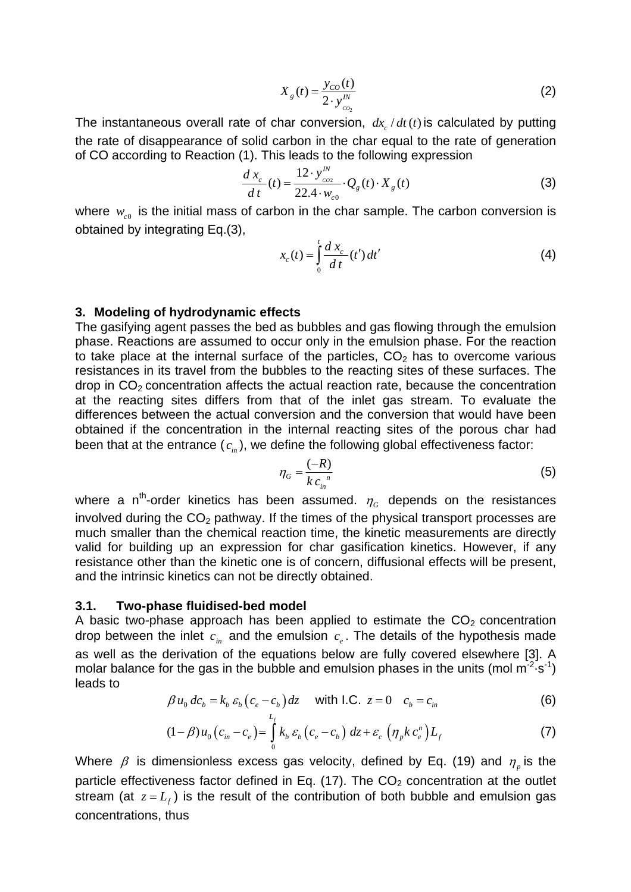$$
X_g(t) = \frac{y_{CO}(t)}{2 \cdot y_{_{CO_2}}^{N}}
$$
 (2)

The instantaneous overall rate of char conversion,  $dx/dt(t)$  is calculated by putting the rate of disappearance of solid carbon in the char equal to the rate of generation of CO according to Reaction (1). This leads to the following expression

$$
\frac{d\,x_c}{d\,t}(t) = \frac{12 \cdot y_{\text{co2}}^N}{22.4 \cdot w_{\text{c0}}} \cdot Q_g(t) \cdot X_g(t)
$$
\n(3)

where  $w_{c0}$  is the initial mass of carbon in the char sample. The carbon conversion is obtained by integrating Eq.(3),

$$
x_c(t) = \int_0^t \frac{d x_c}{d t}(t') dt'
$$
 (4)

#### **3. Modeling of hydrodynamic effects**

The gasifying agent passes the bed as bubbles and gas flowing through the emulsion phase. Reactions are assumed to occur only in the emulsion phase. For the reaction to take place at the internal surface of the particles,  $CO<sub>2</sub>$  has to overcome various resistances in its travel from the bubbles to the reacting sites of these surfaces. The  $d$ rop in  $CO<sub>2</sub>$  concentration affects the actual reaction rate, because the concentration at the reacting sites differs from that of the inlet gas stream. To evaluate the differences between the actual conversion and the conversion that would have been obtained if the concentration in the internal reacting sites of the porous char had been that at the entrance  $(c_{i_n})$ , we define the following global effectiveness factor:

$$
\eta_G = \frac{(-R)}{k c_{in}^n} \tag{5}
$$

where a n<sup>th</sup>-order kinetics has been assumed.  $\eta_c$  depends on the resistances involved during the  $CO<sub>2</sub>$  pathway. If the times of the physical transport processes are much smaller than the chemical reaction time, the kinetic measurements are directly valid for building up an expression for char gasification kinetics. However, if any resistance other than the kinetic one is of concern, diffusional effects will be present, and the intrinsic kinetics can not be directly obtained.

#### **3.1. Two-phase fluidised-bed model**

A basic two-phase approach has been applied to estimate the  $CO<sub>2</sub>$  concentration drop between the inlet  $c_{in}$  and the emulsion  $c_{i}$ . The details of the hypothesis made as well as the derivation of the equations below are fully covered elsewhere [3]. A molar balance for the gas in the bubble and emulsion phases in the units (mol  $m^2$  s<sup>-1</sup>) leads to

$$
\beta u_0 \, dc_b = k_b \, \varepsilon_b \left( c_e - c_b \right) dz \quad \text{with l.C. } z = 0 \quad c_b = c_{in} \tag{6}
$$

$$
(1-\beta)u_0(c_{in}-c_e)=\int\limits_0^{L_f}k_b\,\varepsilon_b(c_e-c_b)\,dz+\varepsilon_c\,\left(\eta_p k\,c_e^n\right)L_f\tag{7}
$$

Where  $\beta$  is dimensionless excess gas velocity, defined by Eq. (19) and  $\eta_{n}$  is the particle effectiveness factor defined in Eq.  $(17)$ . The CO<sub>2</sub> concentration at the outlet stream (at  $z = L<sub>f</sub>$ ) is the result of the contribution of both bubble and emulsion gas concentrations, thus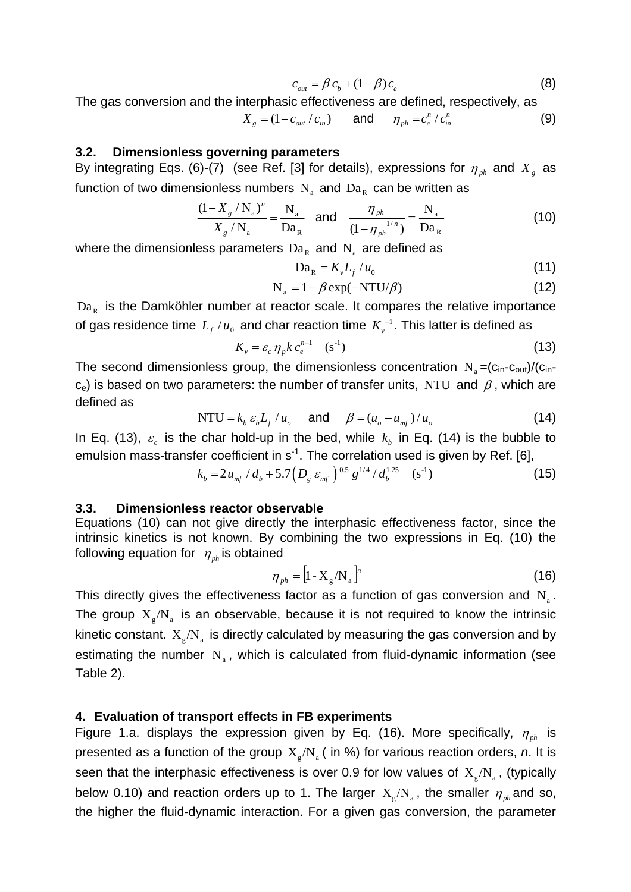$$
c_{\text{out}} = \beta c_b + (1 - \beta) c_e \tag{8}
$$

The gas conversion and the interphasic effectiveness are defined, respectively, as

$$
X_{g} = (1 - c_{out} / c_{in}) \qquad \text{and} \qquad \eta_{ph} = c_{e}^{n} / c_{in}^{n} \tag{9}
$$

## **3.2. Dimensionless governing parameters**

By integrating Eqs. (6)-(7) (see Ref. [3] for details), expressions for  $\eta_{ph}$  and  $X_g$  as function of two dimensionless numbers  $N_a$  and  $Da_R$  can be written as

$$
\frac{(1 - X_{g} / N_{a})^{n}}{X_{g} / N_{a}} = \frac{N_{a}}{Da_{R}} \quad \text{and} \quad \frac{\eta_{ph}}{(1 - \eta_{ph})^{1/n}} = \frac{N_{a}}{Da_{R}}
$$
(10)

where the dimensionless parameters  $Da<sub>R</sub>$  and N<sub>a</sub> are defined as

$$
Da_R = K_v L_f / u_0 \tag{11}
$$

$$
N_a = 1 - \beta \exp(-NTU/\beta) \tag{12}
$$

 $Da<sub>R</sub>$  is the Damköhler number at reactor scale. It compares the relative importance of gas residence time  $L_f / u_0^+$  and char reaction time  $K_v^{-1}.$  This latter is defined as

$$
K_{\nu} = \varepsilon_c \eta_p k \, c_e^{n-1} \quad \text{(s}^{-1}) \tag{13}
$$

The second dimensionless group, the dimensionless concentration  $N_a = (c_{in} - c_{out})/(c_{in} - c_{out})$  $c_e$ ) is based on two parameters: the number of transfer units, NTU and  $\beta$ , which are defined as

NTU = 
$$
k_b \varepsilon_b L_f / u_o
$$
 and  $\beta = (u_o - u_{mf}) / u_o$  (14)

In Eq. (13),  $\varepsilon$  is the char hold-up in the bed, while  $k<sub>h</sub>$  in Eq. (14) is the bubble to emulsion mass-transfer coefficient in  $s<sup>-1</sup>$ . The correlation used is given by Ref. [6],

$$
k_b = 2u_{mf} / d_b + 5.7 \left( D_g \varepsilon_{mf} \right)^{0.5} g^{1/4} / d_b^{1.25} \quad (s^{-1})
$$

### **3.3. Dimensionless reactor observable**

Equations (10) can not give directly the interphasic effectiveness factor, since the intrinsic kinetics is not known. By combining the two expressions in Eq. (10) the following equation for  $\eta_{nk}$  is obtained

$$
\eta_{ph} = \left[1 - X_g / N_a\right]^n \tag{16}
$$

This directly gives the effectiveness factor as a function of gas conversion and  $N_{a}$ . The group  $X_{g} / N_{a}$  is an observable, because it is not required to know the intrinsic kinetic constant.  $X_{g} / N_{a}$  is directly calculated by measuring the gas conversion and by estimating the number  $N_a$ , which is calculated from fluid-dynamic information (see Table 2).

### **4. Evaluation of transport effects in FB experiments**

Figure 1.a. displays the expression given by Eq. (16). More specifically,  $\eta_{ph}$  is presented as a function of the group  $X_{\varphi}/N_{\varphi}$  (in %) for various reaction orders, *n*. It is seen that the interphasic effectiveness is over 0.9 for low values of  $X_{o}/N_{a}$ , (typically below 0.10) and reaction orders up to 1. The larger  $X_{g}/N_{a}$ , the smaller  $\eta_{ph}$  and so, the higher the fluid-dynamic interaction. For a given gas conversion, the parameter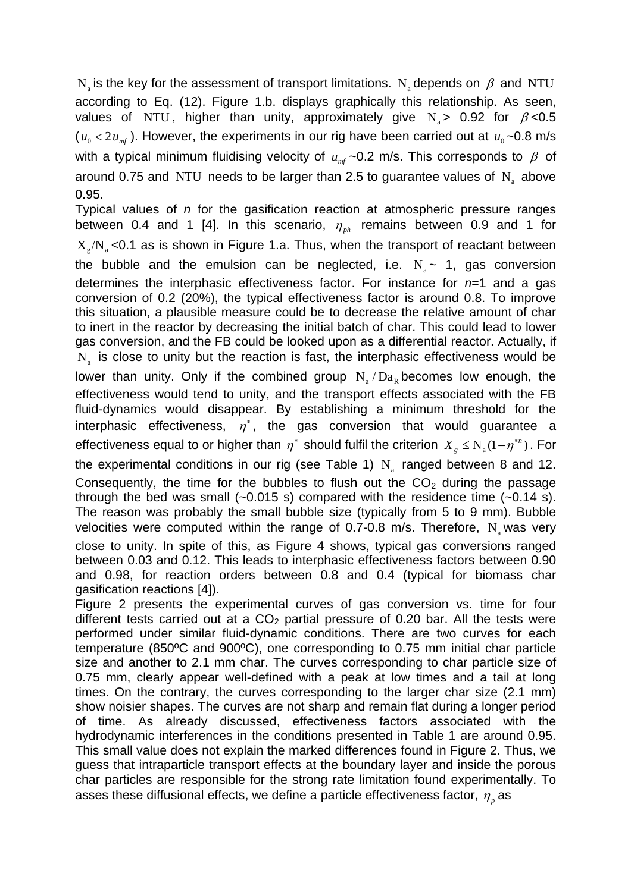N<sub>a</sub> is the key for the assessment of transport limitations. N<sub>a</sub> depends on  $\beta$  and NTU according to Eq. (12). Figure 1.b. displays graphically this relationship. As seen, values of NTU, higher than unity, approximately give  $N_a > 0.92$  for  $\beta < 0.5$  $(u_0 < 2 u_{\text{m}f})$ . However, the experiments in our rig have been carried out at  $u_0 \sim 0.8$  m/s with a typical minimum fluidising velocity of  $u_{\text{ref}}$  ~0.2 m/s. This corresponds to  $\beta$  of around 0.75 and NTU needs to be larger than 2.5 to guarantee values of  $N_a$  above 0.95.

Typical values of *n* for the gasification reaction at atmospheric pressure ranges between 0.4 and 1 [4]. In this scenario,  $\eta_{ph}$  remains between 0.9 and 1 for  $X_{\alpha}/N_{\alpha}$  <0.1 as is shown in Figure 1.a. Thus, when the transport of reactant between the bubble and the emulsion can be neglected, i.e.  $N_a \sim 1$ , gas conversion determines the interphasic effectiveness factor. For instance for *n*=1 and a gas conversion of 0.2 (20%), the typical effectiveness factor is around 0.8. To improve this situation, a plausible measure could be to decrease the relative amount of char to inert in the reactor by decreasing the initial batch of char. This could lead to lower gas conversion, and the FB could be looked upon as a differential reactor. Actually, if  $N<sub>a</sub>$  is close to unity but the reaction is fast, the interphasic effectiveness would be lower than unity. Only if the combined group  $N_a/Da_p$  becomes low enough, the effectiveness would tend to unity, and the transport effects associated with the FB fluid-dynamics would disappear. By establishing a minimum threshold for the interphasic effectiveness,  $\eta^*$ , the gas conversion that would guarantee a effectiveness equal to or higher than  $\eta^*$  should fulfil the criterion  $X_g \le N_g (1 - \eta^{*n})$ . For

the experimental conditions in our rig (see Table 1)  $N_a$  ranged between 8 and 12. Consequently, the time for the bubbles to flush out the  $CO<sub>2</sub>$  during the passage through the bed was small  $(-0.015 \text{ s})$  compared with the residence time  $(-0.14 \text{ s})$ . The reason was probably the small bubble size (typically from 5 to 9 mm). Bubble velocities were computed within the range of 0.7-0.8 m/s. Therefore,  $N_{a}$  was very close to unity. In spite of this, as Figure 4 shows, typical gas conversions ranged between 0.03 and 0.12. This leads to interphasic effectiveness factors between 0.90 and 0.98, for reaction orders between 0.8 and 0.4 (typical for biomass char gasification reactions [4]).

Figure 2 presents the experimental curves of gas conversion vs. time for four different tests carried out at a  $CO<sub>2</sub>$  partial pressure of 0.20 bar. All the tests were performed under similar fluid-dynamic conditions. There are two curves for each temperature (850ºC and 900ºC), one corresponding to 0.75 mm initial char particle size and another to 2.1 mm char. The curves corresponding to char particle size of 0.75 mm, clearly appear well-defined with a peak at low times and a tail at long times. On the contrary, the curves corresponding to the larger char size (2.1 mm) show noisier shapes. The curves are not sharp and remain flat during a longer period of time. As already discussed, effectiveness factors associated with the hydrodynamic interferences in the conditions presented in Table 1 are around 0.95. This small value does not explain the marked differences found in Figure 2. Thus, we guess that intraparticle transport effects at the boundary layer and inside the porous char particles are responsible for the strong rate limitation found experimentally. To asses these diffusional effects, we define a particle effectiveness factor, <sup>η</sup> *<sup>p</sup>* as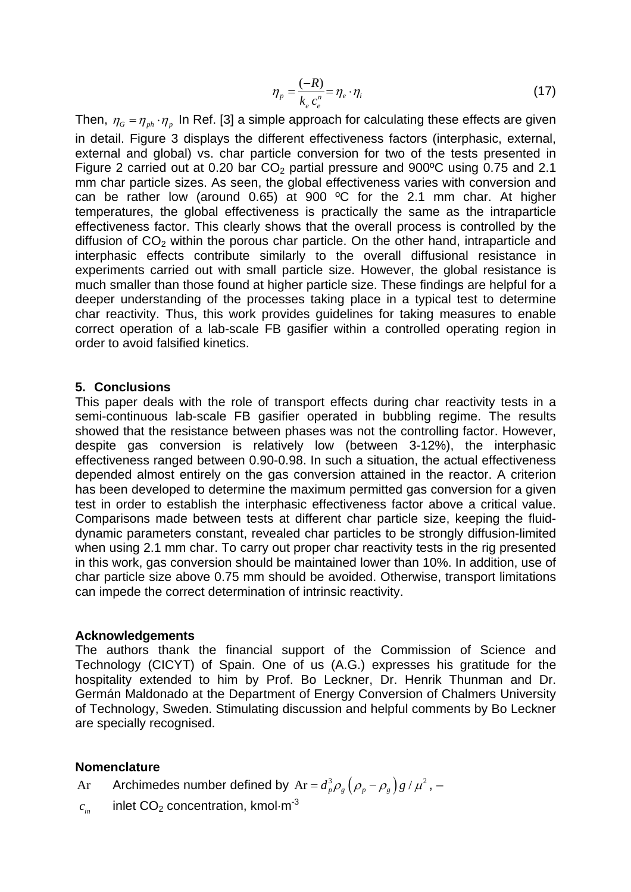$$
\eta_p = \frac{(-R)}{k_e c_e^n} = \eta_e \cdot \eta_i \tag{17}
$$

Then,  $\eta_G = \eta_{ph} \cdot \eta_p$  In Ref. [3] a simple approach for calculating these effects are given in detail. Figure 3 displays the different effectiveness factors (interphasic, external, external and global) vs. char particle conversion for two of the tests presented in Figure 2 carried out at 0.20 bar  $CO<sub>2</sub>$  partial pressure and 900<sup>o</sup>C using 0.75 and 2.1 mm char particle sizes. As seen, the global effectiveness varies with conversion and can be rather low (around 0.65) at 900 ºC for the 2.1 mm char. At higher temperatures, the global effectiveness is practically the same as the intraparticle effectiveness factor. This clearly shows that the overall process is controlled by the diffusion of  $CO<sub>2</sub>$  within the porous char particle. On the other hand, intraparticle and interphasic effects contribute similarly to the overall diffusional resistance in experiments carried out with small particle size. However, the global resistance is much smaller than those found at higher particle size. These findings are helpful for a deeper understanding of the processes taking place in a typical test to determine char reactivity. Thus, this work provides guidelines for taking measures to enable correct operation of a lab-scale FB gasifier within a controlled operating region in order to avoid falsified kinetics.

### **5. Conclusions**

This paper deals with the role of transport effects during char reactivity tests in a semi-continuous lab-scale FB gasifier operated in bubbling regime. The results showed that the resistance between phases was not the controlling factor. However, despite gas conversion is relatively low (between 3-12%), the interphasic effectiveness ranged between 0.90-0.98. In such a situation, the actual effectiveness depended almost entirely on the gas conversion attained in the reactor. A criterion has been developed to determine the maximum permitted gas conversion for a given test in order to establish the interphasic effectiveness factor above a critical value. Comparisons made between tests at different char particle size, keeping the fluiddynamic parameters constant, revealed char particles to be strongly diffusion-limited when using 2.1 mm char. To carry out proper char reactivity tests in the rig presented in this work, gas conversion should be maintained lower than 10%. In addition, use of char particle size above 0.75 mm should be avoided. Otherwise, transport limitations can impede the correct determination of intrinsic reactivity.

### **Acknowledgements**

The authors thank the financial support of the Commission of Science and Technology (CICYT) of Spain. One of us (A.G.) expresses his gratitude for the hospitality extended to him by Prof. Bo Leckner, Dr. Henrik Thunman and Dr. Germán Maldonado at the Department of Energy Conversion of Chalmers University of Technology, Sweden. Stimulating discussion and helpful comments by Bo Leckner are specially recognised.

## **Nomenclature**

Ar Archimedes number defined by  $Ar = d_p^3 \rho_g (\rho_p - \rho_g) g / \mu^2$ , –

 $c_{in}$  inlet  $CO<sub>2</sub>$  concentration, kmol·m<sup>-3</sup>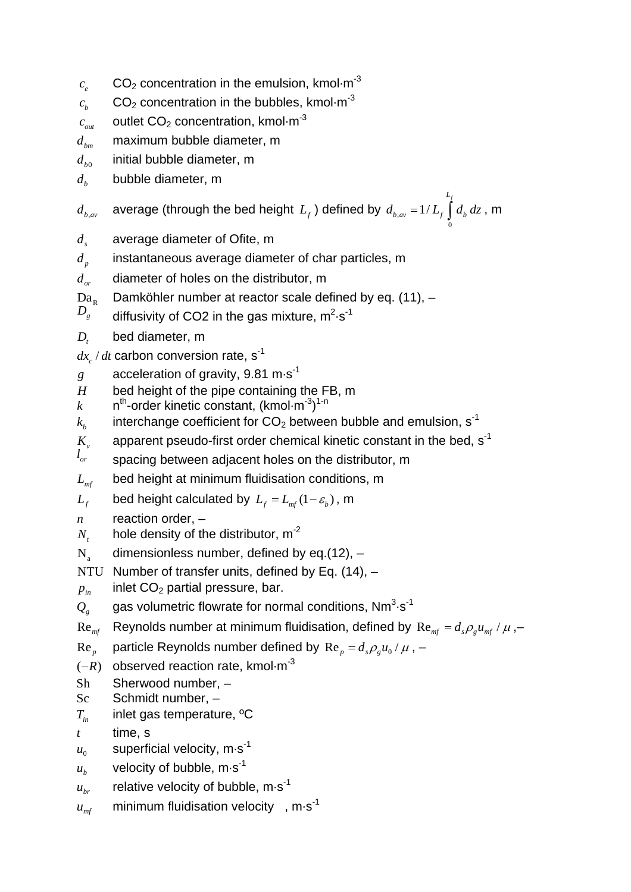- $c<sub>e</sub>$   $CO<sub>2</sub>$  concentration in the emulsion, kmol $\cdot$ m<sup>-3</sup>
- $c<sub>b</sub>$  CO<sub>2</sub> concentration in the bubbles, kmol·m<sup>-3</sup>
- $c_{out}$  outlet  $CO<sub>2</sub>$  concentration, kmol·m<sup>-3</sup>
- *dbm* maximum bubble diameter, m
- $d_{b0}$  initial bubble diameter, m
- $d_b$  bubble diameter, m

 $d_{\scriptscriptstyle b,av}$  average (through the bed height  $L_{\scriptscriptstyle f}$  ) defined by  $d_{\scriptscriptstyle b,av}$ 1/ *Lf*  $d_{b,av} = 1/L_f \int d_b dz$ , m

0

- d<sub>s</sub> average diameter of Ofite, m
- *<sup>p</sup> d* instantaneous average diameter of char particles, m
- *d<sub>or</sub>* diameter of holes on the distributor, m
- $Da_n$  Damköhler number at reactor scale defined by eq. (11),  $-$
- $D_{\rm g}$ *g* diffusivity of CO2 in the gas mixture,  $m^2 \cdot s^{-1}$
- *D<sub>t</sub>* bed diameter, m
- $dx/dt$  carbon conversion rate, s<sup>-1</sup>
- *g* acceleration of gravity, 9.81 m·s<sup>-1</sup>
- *H* bed height of the pipe containing the FB, m
- $k$  n<sup>th</sup>-order kinetic constant,  $(kmol·m<sup>-3</sup>)<sup>1-n</sup>$
- $k<sub>h</sub>$  interchange coefficient for  $CO<sub>2</sub>$  between bubble and emulsion, s<sup>-1</sup>
- $K_v$  apparent pseudo-first order chemical kinetic constant in the bed,  $s^{-1}$
- $l_{or}$  spacing between adiacent holes on the distributor, m
- L<sub>mf</sub> bed height at minimum fluidisation conditions, m
- *L<sub>f</sub>* bed height calculated by  $L_f = L_{mf} (1 \varepsilon_h)$ , m
- *n* reaction order, –
- $N<sub>r</sub>$  hole density of the distributor, m<sup>-2</sup>
- $N_a$  dimensionless number, defined by eq.(12), –
- NTU Number of transfer units, defined by Eq. (14), -
- $p_{in}$  inlet  $CO<sub>2</sub>$  partial pressure, bar.
- $\mathcal{Q}_g$  gas volumetric flowrate for normal conditions, Nm<sup>3</sup>·s<sup>-1</sup>
- $\text{Re}_{m\text{f}}$  Reynolds number at minimum fluidisation, defined by  $\text{Re}_{m\text{f}} = d_s \rho_s u_{m\text{f}} / \mu$ ,-
- $\text{Re}_{p}$  particle Reynolds number defined by  $\text{Re}_{p} = d_{s} \rho_{p} u_{0} / \mu$ , –
- $(-R)$  observed reaction rate, kmol·m<sup>-3</sup>
- Sh Sherwood number, –
- Sc Schmidt number, –
- *T<sub>in</sub>* inlet gas temperature, <sup>o</sup>C
- *t* time, s
- $u_0$  superficial velocity, m·s<sup>-1</sup>
- $u_b$  velocity of bubble, m·s<sup>-1</sup>
- $u_{\text{br}}$  relative velocity of bubble, m·s<sup>-1</sup>
- $u_{\text{mf}}$  minimum fluidisation velocity, m.s<sup>-1</sup>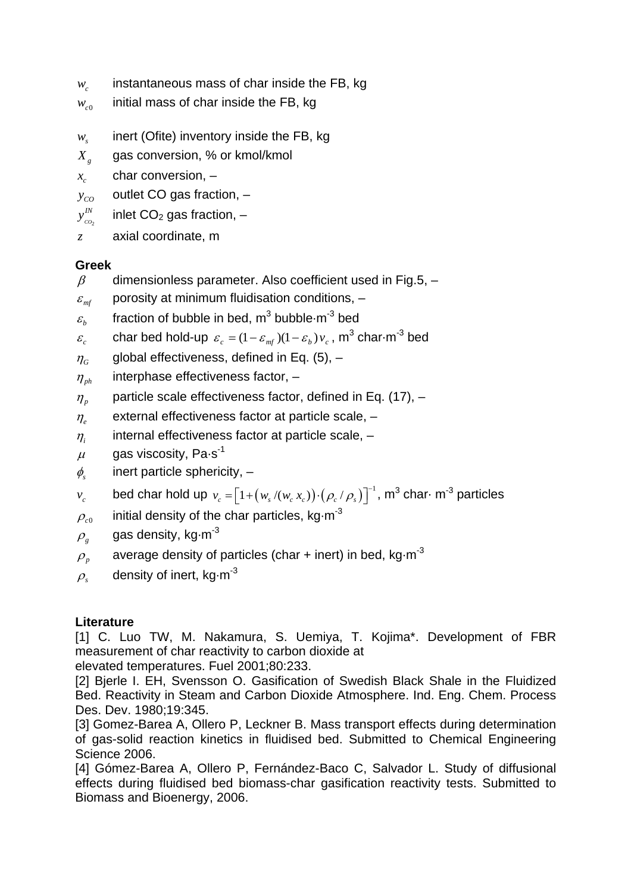- $w_c$  instantaneous mass of char inside the FB, kg
- $w_{c0}$  initial mass of char inside the FB, kg
- *w* inert (Ofite) inventory inside the FB, kg
- *X <sup>g</sup>* gas conversion, % or kmol/kmol
- $x_c$  char conversion,  $-$
- $y_{co}$  outlet CO gas fraction,  $-$
- *CO*2 *IN* inlet  $CO<sub>2</sub>$  gas fraction,  $-$
- *z* axial coordinate, m

## **Greek**

- $\beta$  dimensionless parameter. Also coefficient used in Fig.5, –
- $\varepsilon_{\scriptscriptstyle m\!f}$  porosity at minimum fluidisation conditions,  $-$
- $\varepsilon_{\scriptscriptstyle b}$  fraction of bubble in bed, m<sup>3</sup> bubble $\cdot$ m<sup>-3</sup> bed
- $\varepsilon_c$  char bed hold-up  $\varepsilon_c = (1 \varepsilon_{m} / (1 \varepsilon_b) v_c)$ , m<sup>3</sup> char·m<sup>-3</sup> bed
- $\eta_c$  global effectiveness, defined in Eq. (5),  $-$
- $\eta_{ph}$  interphase effectiveness factor,  $-$
- $\eta_p$  particle scale effectiveness factor, defined in Eq. (17),  $-$
- <sup>η</sup>*e* external effectiveness factor at particle scale, –
- $\eta_i$  internal effectiveness factor at particle scale,  $-$
- $\mu$  gas viscosity, Pa-s<sup>-1</sup>
- $\phi_s$  inert particle sphericity,  $-$
- $v_c$  bed char hold up  $v_c = [1 + (w_s/(w_c x_c)) \cdot (\rho_c / \rho_s)]^{-1}$ , m<sup>3</sup> char $\cdot$  m<sup>-3</sup> particles
- $\rho_{c0}$  initial density of the char particles, kg $\,$ m<sup>-3</sup>
- $\rho_{g}$  gas density, kg $\cdot$ m<sup>-3</sup>
- $\rho_p$  average density of particles (char + inert) in bed, kg $\cdot$ m<sup>-3</sup>
- $\rho$  density of inert, kg·m<sup>-3</sup>

## **Literature**

[1] C. Luo TW, M. Nakamura, S. Uemiya, T. Kojima\*. Development of FBR measurement of char reactivity to carbon dioxide at elevated temperatures. Fuel 2001;80:233.

[2] Bjerle I. EH, Svensson O. Gasification of Swedish Black Shale in the Fluidized Bed. Reactivity in Steam and Carbon Dioxide Atmosphere. Ind. Eng. Chem. Process Des. Dev. 1980;19:345.

[3] Gomez-Barea A, Ollero P, Leckner B. Mass transport effects during determination of gas-solid reaction kinetics in fluidised bed. Submitted to Chemical Engineering Science 2006.

[4] Gómez-Barea A, Ollero P, Fernández-Baco C, Salvador L. Study of diffusional effects during fluidised bed biomass-char gasification reactivity tests. Submitted to Biomass and Bioenergy, 2006.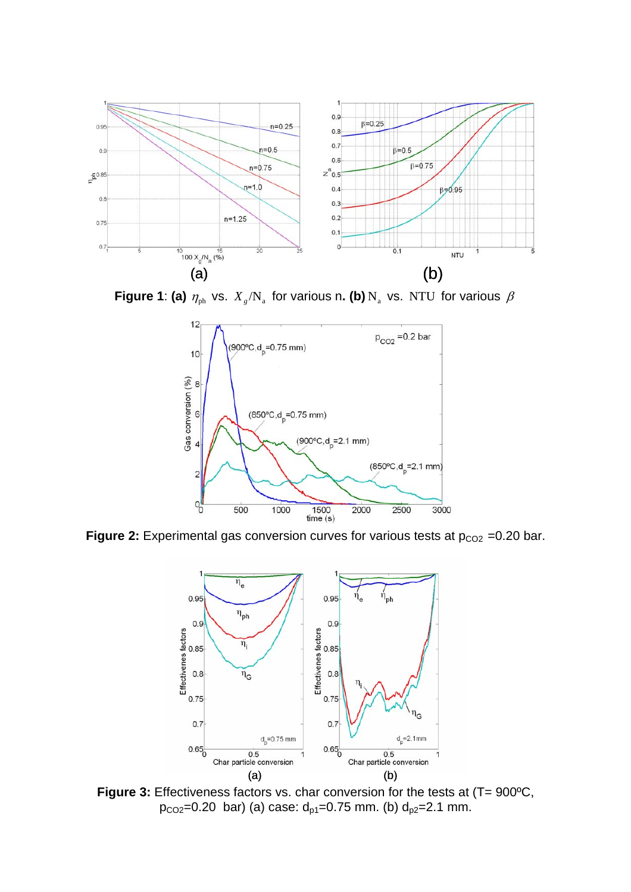

**Figure 1: (a)**  $\eta_{ph}$  vs.  $X_{g}/N_{a}$  for various n**. (b)**  $N_{a}$  vs. NTU for various  $\beta$ 



**Figure 2:** Experimental gas conversion curves for various tests at  $p_{CO2} = 0.20$  bar.



Figure 3: Effectiveness factors vs. char conversion for the tests at (T= 900°C, p<sub>co2</sub>=0.20 bar) (a) case:  $d_{p1}$ =0.75 mm. (b)  $d_{p2}$ =2.1 mm.